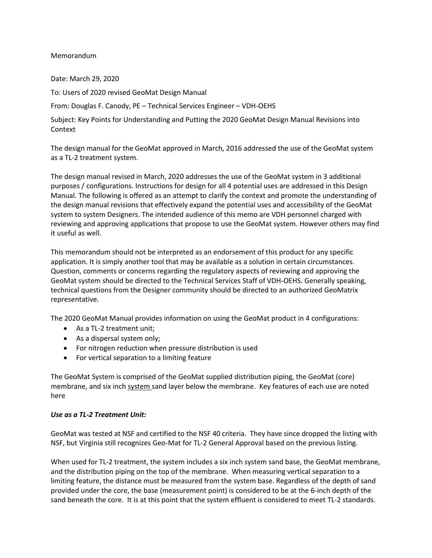#### Memorandum

Date: March 29, 2020

To: Users of 2020 revised GeoMat Design Manual

From: Douglas F. Canody, PE – Technical Services Engineer – VDH-OEHS

Subject: Key Points for Understanding and Putting the 2020 GeoMat Design Manual Revisions into Context

The design manual for the GeoMat approved in March, 2016 addressed the use of the GeoMat system as a TL-2 treatment system.

The design manual revised in March, 2020 addresses the use of the GeoMat system in 3 additional purposes / configurations. Instructions for design for all 4 potential uses are addressed in this Design Manual. The following is offered as an attempt to clarify the context and promote the understanding of the design manual revisions that effectively expand the potential uses and accessibility of the GeoMat system to system Designers. The intended audience of this memo are VDH personnel charged with reviewing and approving applications that propose to use the GeoMat system. However others may find it useful as well.

This memorandum should not be interpreted as an endorsement of this product for any specific application. It is simply another tool that may be available as a solution in certain circumstances. Question, comments or concerns regarding the regulatory aspects of reviewing and approving the GeoMat system should be directed to the Technical Services Staff of VDH-OEHS. Generally speaking, technical questions from the Designer community should be directed to an authorized GeoMatrix representative.

The 2020 GeoMat Manual provides information on using the GeoMat product in 4 configurations:

- As a TL-2 treatment unit;
- As a dispersal system only;
- For nitrogen reduction when pressure distribution is used
- For vertical separation to a limiting feature

The GeoMat System is comprised of the GeoMat supplied distribution piping, the GeoMat (core) membrane, and six inch system sand layer below the membrane. Key features of each use are noted here

#### *Use as a TL-2 Treatment Unit:*

GeoMat was tested at NSF and certified to the NSF 40 criteria. They have since dropped the listing with NSF, but Virginia still recognizes Geo-Mat for TL-2 General Approval based on the previous listing.

When used for TL-2 treatment, the system includes a six inch system sand base, the GeoMat membrane, and the distribution piping on the top of the membrane. When measuring vertical separation to a limiting feature, the distance must be measured from the system base. Regardless of the depth of sand provided under the core, the base (measurement point) is considered to be at the 6-inch depth of the sand beneath the core. It is at this point that the system effluent is considered to meet TL-2 standards.